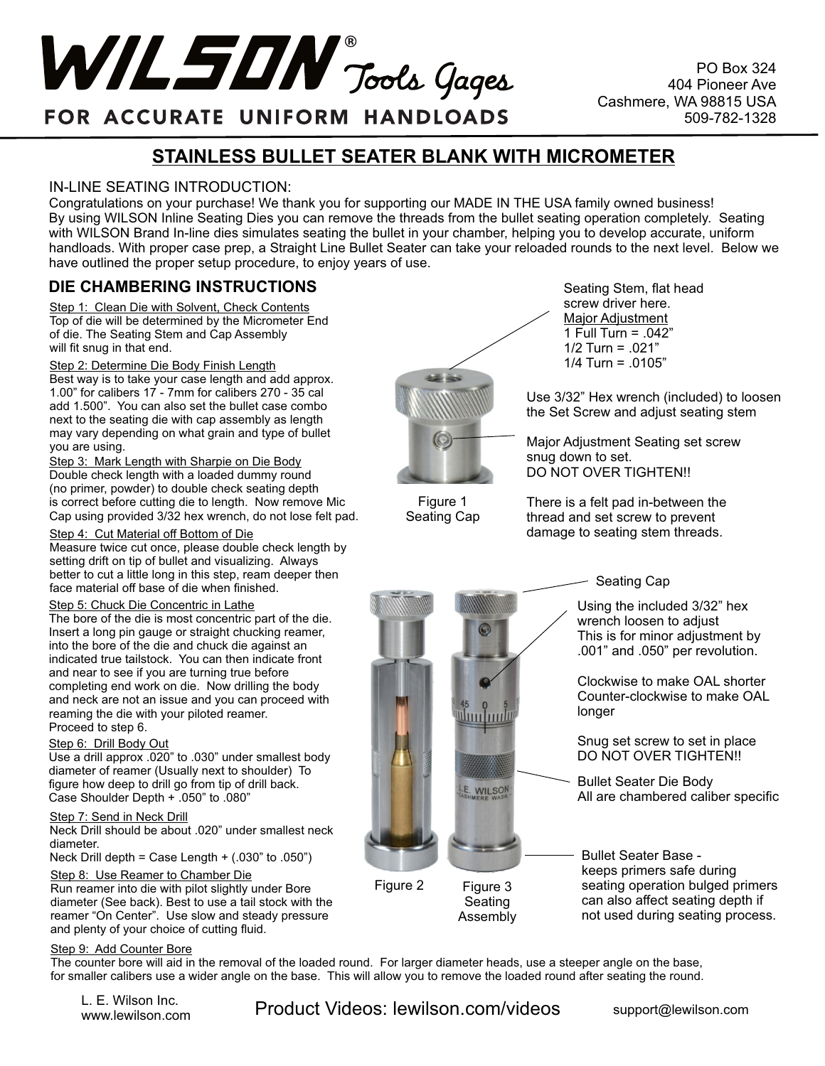

PO Box 324 404 Pioneer Ave Cashmere, WA 98815 USA 509-782-1328

## FOR ACCURATE UNIFORM HANDLOADS

## **STAINLESS BULLET SEATER BLANK WITH MICROMETER**

### IN-LINE SEATING INTRODUCTION:

Congratulations on your purchase! We thank you for supporting our MADE IN THE USA family owned business! By using WILSON Inline Seating Dies you can remove the threads from the bullet seating operation completely. Seating with WILSON Brand In-line dies simulates seating the bullet in your chamber, helping you to develop accurate, uniform handloads. With proper case prep, a Straight Line Bullet Seater can take your reloaded rounds to the next level. Below we have outlined the proper setup procedure, to enjoy years of use.

> Figure 1 Seating Cap

## **DIE CHAMBERING INSTRUCTIONS**

Step 1: Clean Die with Solvent, Check Contents Top of die will be determined by the Micrometer End of die. The Seating Stem and Cap Assembly will fit snug in that end.

Step 2: Determine Die Body Finish Length

Best way is to take your case length and add approx. 1.00" for calibers 17 - 7mm for calibers 270 - 35 cal add 1.500". You can also set the bullet case combo next to the seating die with cap assembly as length may vary depending on what grain and type of bullet you are using.

Step 3: Mark Length with Sharpie on Die Body Double check length with a loaded dummy round (no primer, powder) to double check seating depth is correct before cutting die to length. Now remove Mic Cap using provided 3/32 hex wrench, do not lose felt pad.

#### Step 4: Cut Material off Bottom of Die

Measure twice cut once, please double check length by setting drift on tip of bullet and visualizing. Always better to cut a little long in this step, ream deeper then face material off base of die when finished.

#### Step 5: Chuck Die Concentric in Lathe

The bore of the die is most concentric part of the die. Insert a long pin gauge or straight chucking reamer, into the bore of the die and chuck die against an indicated true tailstock. You can then indicate front and near to see if you are turning true before completing end work on die. Now drilling the body and neck are not an issue and you can proceed with reaming the die with your piloted reamer. Proceed to step 6.

#### Step 6: Drill Body Out

Use a drill approx .020" to .030" under smallest body diameter of reamer (Usually next to shoulder) To figure how deep to drill go from tip of drill back. Case Shoulder Depth + .050" to .080"

#### Step 7: Send in Neck Drill

Neck Drill should be about .020" under smallest neck diameter.

Neck Drill depth = Case Length  $+$  (.030" to .050")

#### Step 8: Use Reamer to Chamber Die

Run reamer into die with pilot slightly under Bore diameter (See back). Best to use a tail stock with the reamer "On Center". Use slow and steady pressure and plenty of your choice of cutting fluid.

#### Step 9: Add Counter Bore

The counter bore will aid in the removal of the loaded round. For larger diameter heads, use a steeper angle on the base, for smaller calibers use a wider angle on the base. This will allow you to remove the loaded round after seating the round.

L. E. Wilson Inc.<br>www.lewilson.com

L. E. Wilson Inc.<br>www.lewilson.com **Product Videos: lewilson.com/videos** support@lewilson.com

Seating Stem, flat head screw driver here. Major Adjustment 1 Full Turn = .042" 1/2 Turn = .021" 1/4 Turn = .0105"

Use 3/32" Hex wrench (included) to loosen the Set Screw and adjust seating stem

Major Adjustment Seating set screw snug down to set. DO NOT OVER TIGHTEN!!

There is a felt pad in-between the thread and set screw to prevent damage to seating stem threads.